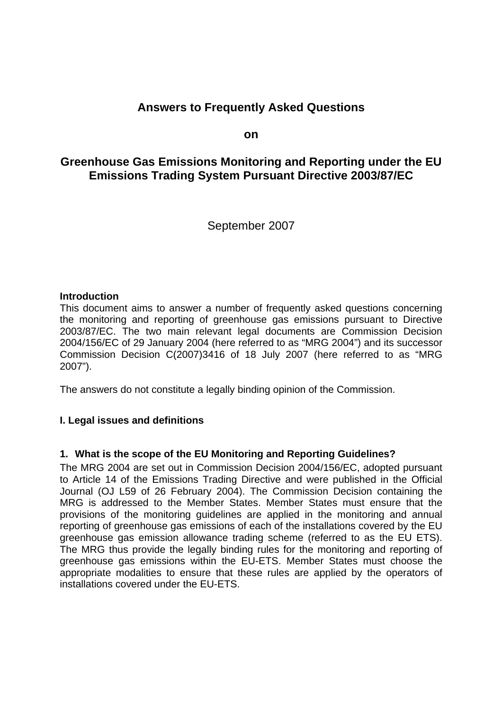# **Answers to Frequently Asked Questions**

**on** 

# **Greenhouse Gas Emissions Monitoring and Reporting under the EU Emissions Trading System Pursuant Directive 2003/87/EC**

September 2007

#### **Introduction**

This document aims to answer a number of frequently asked questions concerning the monitoring and reporting of greenhouse gas emissions pursuant to Directive 2003/87/EC. The two main relevant legal documents are Commission Decision 2004/156/EC of 29 January 2004 (here referred to as "MRG 2004") and its successor Commission Decision C(2007)3416 of 18 July 2007 (here referred to as "MRG 2007").

The answers do not constitute a legally binding opinion of the Commission.

#### **I. Legal issues and definitions**

#### **1. What is the scope of the EU Monitoring and Reporting Guidelines?**

The MRG 2004 are set out in Commission Decision 2004/156/EC, adopted pursuant to Article 14 of the Emissions Trading Directive and were published in the Official Journal (OJ L59 of 26 February 2004). The Commission Decision containing the MRG is addressed to the Member States. Member States must ensure that the provisions of the monitoring guidelines are applied in the monitoring and annual reporting of greenhouse gas emissions of each of the installations covered by the EU greenhouse gas emission allowance trading scheme (referred to as the EU ETS). The MRG thus provide the legally binding rules for the monitoring and reporting of greenhouse gas emissions within the EU-ETS. Member States must choose the appropriate modalities to ensure that these rules are applied by the operators of installations covered under the EU-ETS.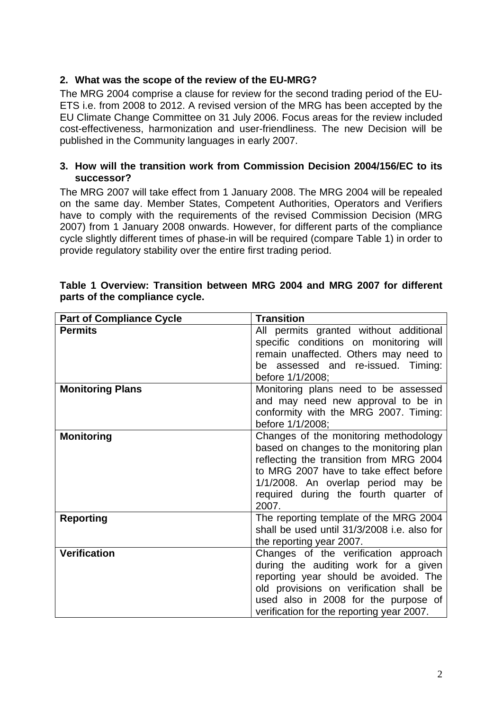# **2. What was the scope of the review of the EU-MRG?**

The MRG 2004 comprise a clause for review for the second trading period of the EU-ETS i.e. from 2008 to 2012. A revised version of the MRG has been accepted by the EU Climate Change Committee on 31 July 2006. Focus areas for the review included cost-effectiveness, harmonization and user-friendliness. The new Decision will be published in the Community languages in early 2007.

#### **3. How will the transition work from Commission Decision 2004/156/EC to its successor?**

The MRG 2007 will take effect from 1 January 2008. The MRG 2004 will be repealed on the same day. Member States, Competent Authorities, Operators and Verifiers have to comply with the requirements of the revised Commission Decision (MRG 2007) from 1 January 2008 onwards. However, for different parts of the compliance cycle slightly different times of phase-in will be required (compare [Table 1\)](#page-1-0) in order to provide regulatory stability over the entire first trading period.

| <b>Part of Compliance Cycle</b> | <b>Transition</b>                           |
|---------------------------------|---------------------------------------------|
| <b>Permits</b>                  | All permits granted without additional      |
|                                 | specific conditions on monitoring will      |
|                                 | remain unaffected. Others may need to       |
|                                 | be assessed and re-issued. Timing:          |
|                                 | before 1/1/2008;                            |
| <b>Monitoring Plans</b>         | Monitoring plans need to be assessed        |
|                                 | and may need new approval to be in          |
|                                 | conformity with the MRG 2007. Timing:       |
|                                 | before 1/1/2008;                            |
| <b>Monitoring</b>               | Changes of the monitoring methodology       |
|                                 | based on changes to the monitoring plan     |
|                                 | reflecting the transition from MRG 2004     |
|                                 | to MRG 2007 have to take effect before      |
|                                 | 1/1/2008. An overlap period may be          |
|                                 | required during the fourth quarter of       |
|                                 | 2007.                                       |
| <b>Reporting</b>                | The reporting template of the MRG 2004      |
|                                 | shall be used until 31/3/2008 i.e. also for |
|                                 | the reporting year 2007.                    |
| <b>Verification</b>             | Changes of the verification approach        |
|                                 | during the auditing work for a given        |
|                                 | reporting year should be avoided. The       |
|                                 | old provisions on verification shall be     |
|                                 | used also in 2008 for the purpose of        |
|                                 | verification for the reporting year 2007.   |

#### <span id="page-1-0"></span>**Table 1 Overview: Transition between MRG 2004 and MRG 2007 for different parts of the compliance cycle.**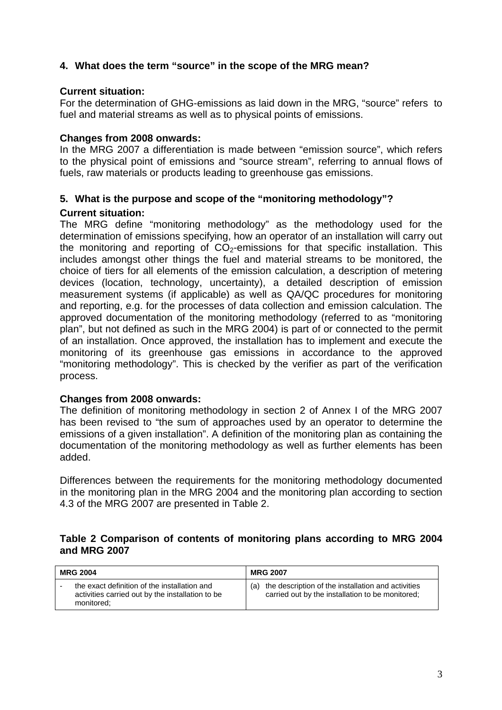# **4. What does the term "source" in the scope of the MRG mean?**

#### **Current situation:**

For the determination of GHG-emissions as laid down in the MRG, "source" refers to fuel and material streams as well as to physical points of emissions.

#### **Changes from 2008 onwards:**

In the MRG 2007 a differentiation is made between "emission source", which refers to the physical point of emissions and "source stream", referring to annual flows of fuels, raw materials or products leading to greenhouse gas emissions.

# **5. What is the purpose and scope of the "monitoring methodology"? Current situation:**

The MRG define "monitoring methodology" as the methodology used for the determination of emissions specifying, how an operator of an installation will carry out the monitoring and reporting of  $CO<sub>2</sub>$ -emissions for that specific installation. This includes amongst other things the fuel and material streams to be monitored, the choice of tiers for all elements of the emission calculation, a description of metering devices (location, technology, uncertainty), a detailed description of emission measurement systems (if applicable) as well as QA/QC procedures for monitoring and reporting, e.g. for the processes of data collection and emission calculation. The approved documentation of the monitoring methodology (referred to as "monitoring plan", but not defined as such in the MRG 2004) is part of or connected to the permit of an installation. Once approved, the installation has to implement and execute the monitoring of its greenhouse gas emissions in accordance to the approved "monitoring methodology". This is checked by the verifier as part of the verification process.

#### **Changes from 2008 onwards:**

The definition of monitoring methodology in section 2 of Annex I of the MRG 2007 has been revised to "the sum of approaches used by an operator to determine the emissions of a given installation". A definition of the monitoring plan as containing the documentation of the monitoring methodology as well as further elements has been added.

Differences between the requirements for the monitoring methodology documented in the monitoring plan in the MRG 2004 and the monitoring plan according to section 4.3 of the MRG 2007 are presented in [Table 2.](#page-2-0)

#### <span id="page-2-0"></span>**Table 2 Comparison of contents of monitoring plans according to MRG 2004 and MRG 2007**

| <b>MRG 2004</b> |                                                                                                                | <b>MRG 2007</b>                                                                                            |  |
|-----------------|----------------------------------------------------------------------------------------------------------------|------------------------------------------------------------------------------------------------------------|--|
|                 | the exact definition of the installation and<br>activities carried out by the installation to be<br>monitored: | (a) the description of the installation and activities<br>carried out by the installation to be monitored; |  |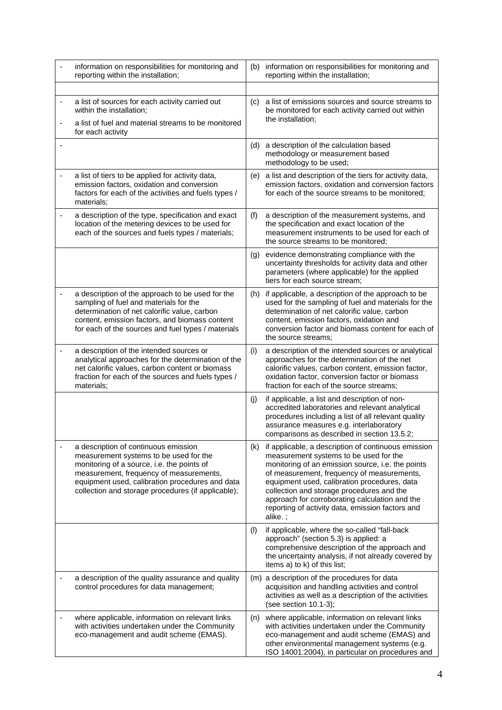| information on responsibilities for monitoring and<br>reporting within the installation;                                                                                                                                                                                         |     | (b) information on responsibilities for monitoring and<br>reporting within the installation;                                                                                                                                                                                                                                                                                                                        |
|----------------------------------------------------------------------------------------------------------------------------------------------------------------------------------------------------------------------------------------------------------------------------------|-----|---------------------------------------------------------------------------------------------------------------------------------------------------------------------------------------------------------------------------------------------------------------------------------------------------------------------------------------------------------------------------------------------------------------------|
|                                                                                                                                                                                                                                                                                  |     |                                                                                                                                                                                                                                                                                                                                                                                                                     |
| a list of sources for each activity carried out<br>within the installation;                                                                                                                                                                                                      | (C) | a list of emissions sources and source streams to<br>be monitored for each activity carried out within                                                                                                                                                                                                                                                                                                              |
| a list of fuel and material streams to be monitored<br>for each activity                                                                                                                                                                                                         |     | the installation;                                                                                                                                                                                                                                                                                                                                                                                                   |
|                                                                                                                                                                                                                                                                                  | (d) | a description of the calculation based<br>methodology or measurement based<br>methodology to be used;                                                                                                                                                                                                                                                                                                               |
| a list of tiers to be applied for activity data,<br>emission factors, oxidation and conversion<br>factors for each of the activities and fuels types /<br>materials:                                                                                                             |     | (e) a list and description of the tiers for activity data,<br>emission factors, oxidation and conversion factors<br>for each of the source streams to be monitored;                                                                                                                                                                                                                                                 |
| a description of the type, specification and exact<br>location of the metering devices to be used for<br>each of the sources and fuels types / materials;                                                                                                                        | (f) | a description of the measurement systems, and<br>the specification and exact location of the<br>measurement instruments to be used for each of<br>the source streams to be monitored;                                                                                                                                                                                                                               |
|                                                                                                                                                                                                                                                                                  |     | (g) evidence demonstrating compliance with the<br>uncertainty thresholds for activity data and other<br>parameters (where applicable) for the applied<br>tiers for each source stream;                                                                                                                                                                                                                              |
| a description of the approach to be used for the<br>sampling of fuel and materials for the<br>determination of net calorific value, carbon<br>content, emission factors, and biomass content<br>for each of the sources and fuel types / materials                               | (h) | if applicable, a description of the approach to be<br>used for the sampling of fuel and materials for the<br>determination of net calorific value, carbon<br>content, emission factors, oxidation and<br>conversion factor and biomass content for each of<br>the source streams:                                                                                                                                   |
| a description of the intended sources or<br>analytical approaches for the determination of the<br>net calorific values, carbon content or biomass<br>fraction for each of the sources and fuels types /<br>materials;                                                            | (i) | a description of the intended sources or analytical<br>approaches for the determination of the net<br>calorific values, carbon content, emission factor,<br>oxidation factor, conversion factor or biomass<br>fraction for each of the source streams;                                                                                                                                                              |
|                                                                                                                                                                                                                                                                                  | (j) | if applicable, a list and description of non-<br>accredited laboratories and relevant analytical<br>procedures including a list of all relevant quality<br>assurance measures e.g. interlaboratory<br>comparisons as described in section 13.5.2;                                                                                                                                                                   |
| a description of continuous emission<br>measurement systems to be used for the<br>monitoring of a source, i.e. the points of<br>measurement, frequency of measurements,<br>equipment used, calibration procedures and data<br>collection and storage procedures (if applicable); |     | (k) if applicable, a description of continuous emission<br>measurement systems to be used for the<br>monitoring of an emission source, i.e. the points<br>of measurement, frequency of measurements,<br>equipment used, calibration procedures, data<br>collection and storage procedures and the<br>approach for corroborating calculation and the<br>reporting of activity data, emission factors and<br>alike. ; |
|                                                                                                                                                                                                                                                                                  | (1) | if applicable, where the so-called "fall-back<br>approach" (section 5.3) is applied: a<br>comprehensive description of the approach and<br>the uncertainty analysis, if not already covered by<br>items a) to k) of this list;                                                                                                                                                                                      |
| a description of the quality assurance and quality<br>control procedures for data management;                                                                                                                                                                                    |     | (m) a description of the procedures for data<br>acquisition and handling activities and control<br>activities as well as a description of the activities<br>(see section 10.1-3);                                                                                                                                                                                                                                   |
| where applicable, information on relevant links<br>with activities undertaken under the Community<br>eco-management and audit scheme (EMAS).                                                                                                                                     | (n) | where applicable, information on relevant links<br>with activities undertaken under the Community<br>eco-management and audit scheme (EMAS) and<br>other environmental management systems (e.g.<br>ISO 14001:2004), in particular on procedures and                                                                                                                                                                 |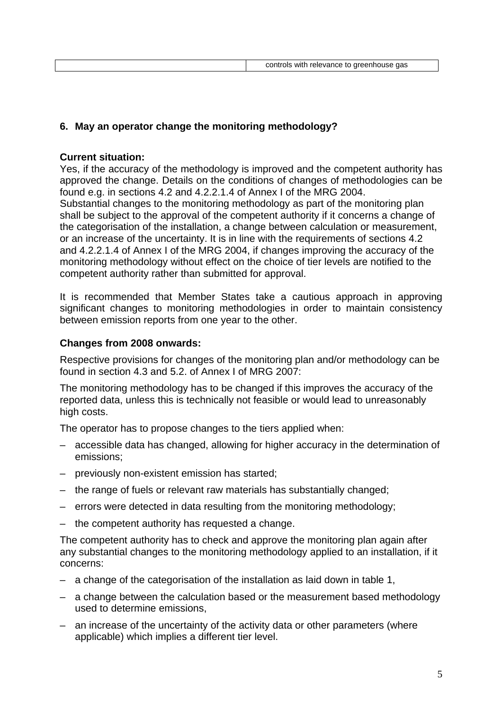# **6. May an operator change the monitoring methodology?**

#### **Current situation:**

Yes, if the accuracy of the methodology is improved and the competent authority has approved the change. Details on the conditions of changes of methodologies can be found e.g. in sections 4.2 and 4.2.2.1.4 of Annex I of the MRG 2004. Substantial changes to the monitoring methodology as part of the monitoring plan shall be subject to the approval of the competent authority if it concerns a change of the categorisation of the installation, a change between calculation or measurement, or an increase of the uncertainty. It is in line with the requirements of sections 4.2 and 4.2.2.1.4 of Annex I of the MRG 2004, if changes improving the accuracy of the monitoring methodology without effect on the choice of tier levels are notified to the competent authority rather than submitted for approval.

It is recommended that Member States take a cautious approach in approving significant changes to monitoring methodologies in order to maintain consistency between emission reports from one year to the other.

# **Changes from 2008 onwards:**

Respective provisions for changes of the monitoring plan and/or methodology can be found in section 4.3 and 5.2. of Annex I of MRG 2007:

The monitoring methodology has to be changed if this improves the accuracy of the reported data, unless this is technically not feasible or would lead to unreasonably high costs.

The operator has to propose changes to the tiers applied when:

- accessible data has changed, allowing for higher accuracy in the determination of emissions;
- previously non-existent emission has started;
- the range of fuels or relevant raw materials has substantially changed;
- errors were detected in data resulting from the monitoring methodology;
- the competent authority has requested a change.

The competent authority has to check and approve the monitoring plan again after any substantial changes to the monitoring methodology applied to an installation, if it concerns:

- a change of the categorisation of the installation as laid down in table 1,
- a change between the calculation based or the measurement based methodology used to determine emissions,
- an increase of the uncertainty of the activity data or other parameters (where applicable) which implies a different tier level.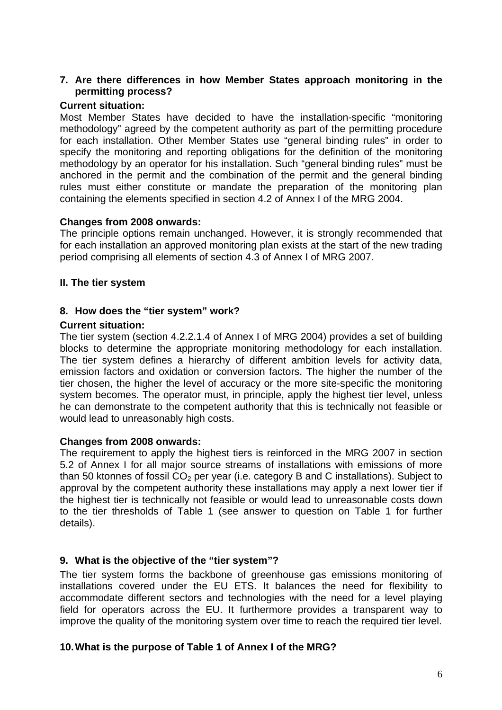### **7. Are there differences in how Member States approach monitoring in the permitting process?**

#### **Current situation:**

Most Member States have decided to have the installation-specific "monitoring methodology" agreed by the competent authority as part of the permitting procedure for each installation. Other Member States use "general binding rules" in order to specify the monitoring and reporting obligations for the definition of the monitoring methodology by an operator for his installation. Such "general binding rules" must be anchored in the permit and the combination of the permit and the general binding rules must either constitute or mandate the preparation of the monitoring plan containing the elements specified in section 4.2 of Annex I of the MRG 2004.

#### **Changes from 2008 onwards:**

The principle options remain unchanged. However, it is strongly recommended that for each installation an approved monitoring plan exists at the start of the new trading period comprising all elements of section 4.3 of Annex I of MRG 2007.

#### **II. The tier system**

#### **8. How does the "tier system" work?**

#### **Current situation:**

The tier system (section 4.2.2.1.4 of Annex I of MRG 2004) provides a set of building blocks to determine the appropriate monitoring methodology for each installation. The tier system defines a hierarchy of different ambition levels for activity data, emission factors and oxidation or conversion factors. The higher the number of the tier chosen, the higher the level of accuracy or the more site-specific the monitoring system becomes. The operator must, in principle, apply the highest tier level, unless he can demonstrate to the competent authority that this is technically not feasible or would lead to unreasonably high costs.

#### **Changes from 2008 onwards:**

The requirement to apply the highest tiers is reinforced in the MRG 2007 in section 5.2 of Annex I for all major source streams of installations with emissions of more than 50 ktonnes of fossil  $CO<sub>2</sub>$  per year (i.e. category B and C installations). Subject to approval by the competent authority these installations may apply a next lower tier if the highest tier is technically not feasible or would lead to unreasonable costs down to the tier thresholds of Table 1 (see answer to question on Table 1 for further details).

#### **9. What is the objective of the "tier system"?**

The tier system forms the backbone of greenhouse gas emissions monitoring of installations covered under the EU ETS. It balances the need for flexibility to accommodate different sectors and technologies with the need for a level playing field for operators across the EU. It furthermore provides a transparent way to improve the quality of the monitoring system over time to reach the required tier level.

#### **10. What is the purpose of Table 1 of Annex I of the MRG?**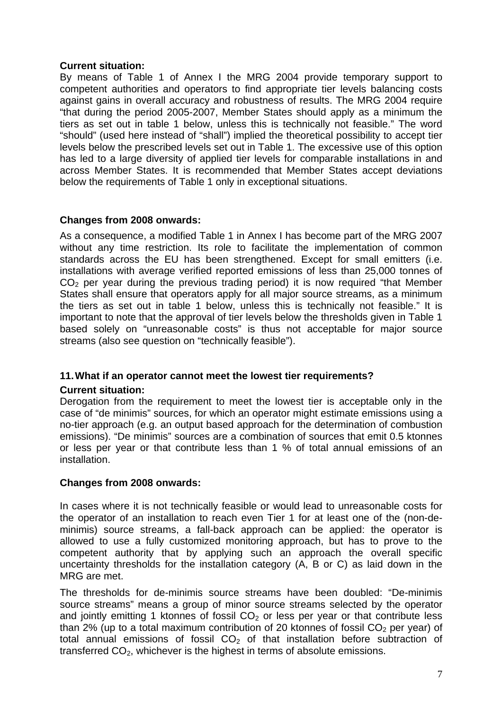# **Current situation:**

By means of Table 1 of Annex I the MRG 2004 provide temporary support to competent authorities and operators to find appropriate tier levels balancing costs against gains in overall accuracy and robustness of results. The MRG 2004 require "that during the period 2005-2007, Member States should apply as a minimum the tiers as set out in table 1 below, unless this is technically not feasible." The word "should" (used here instead of "shall") implied the theoretical possibility to accept tier levels below the prescribed levels set out in Table 1. The excessive use of this option has led to a large diversity of applied tier levels for comparable installations in and across Member States. It is recommended that Member States accept deviations below the requirements of Table 1 only in exceptional situations.

# **Changes from 2008 onwards:**

As a consequence, a modified Table 1 in Annex I has become part of the MRG 2007 without any time restriction. Its role to facilitate the implementation of common standards across the EU has been strengthened. Except for small emitters (i.e. installations with average verified reported emissions of less than 25,000 tonnes of  $CO<sub>2</sub>$  per year during the previous trading period) it is now required "that Member States shall ensure that operators apply for all major source streams, as a minimum the tiers as set out in table 1 below, unless this is technically not feasible." It is important to note that the approval of tier levels below the thresholds given in Table 1 based solely on "unreasonable costs" is thus not acceptable for major source streams (also see question on "technically feasible").

# **11. What if an operator cannot meet the lowest tier requirements?**

# **Current situation:**

Derogation from the requirement to meet the lowest tier is acceptable only in the case of "de minimis" sources, for which an operator might estimate emissions using a no-tier approach (e.g. an output based approach for the determination of combustion emissions). "De minimis" sources are a combination of sources that emit 0.5 ktonnes or less per year or that contribute less than 1 % of total annual emissions of an installation.

# **Changes from 2008 onwards:**

In cases where it is not technically feasible or would lead to unreasonable costs for the operator of an installation to reach even Tier 1 for at least one of the (non-deminimis) source streams, a fall-back approach can be applied: the operator is allowed to use a fully customized monitoring approach, but has to prove to the competent authority that by applying such an approach the overall specific uncertainty thresholds for the installation category (A, B or C) as laid down in the MRG are met.

The thresholds for de-minimis source streams have been doubled: "De-minimis source streams" means a group of minor source streams selected by the operator and jointly emitting 1 ktonnes of fossil  $CO<sub>2</sub>$  or less per year or that contribute less than 2% (up to a total maximum contribution of 20 ktonnes of fossil  $CO<sub>2</sub>$  per year) of total annual emissions of fossil  $CO<sub>2</sub>$  of that installation before subtraction of transferred  $CO<sub>2</sub>$ , whichever is the highest in terms of absolute emissions.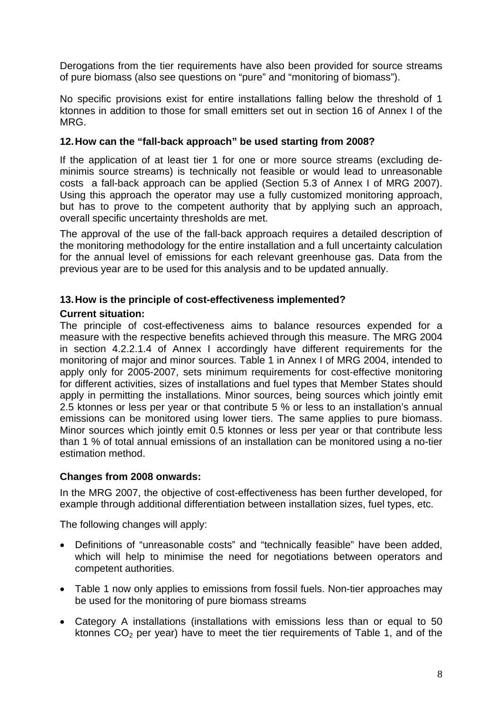Derogations from the tier requirements have also been provided for source streams of pure biomass (also see questions on "pure" and "monitoring of biomass").

No specific provisions exist for entire installations falling below the threshold of 1 ktonnes in addition to those for small emitters set out in section 16 of Annex I of the MRG.

# **12. How can the "fall-back approach" be used starting from 2008?**

If the application of at least tier 1 for one or more source streams (excluding deminimis source streams) is technically not feasible or would lead to unreasonable costs a fall-back approach can be applied (Section 5.3 of Annex I of MRG 2007). Using this approach the operator may use a fully customized monitoring approach, but has to prove to the competent authority that by applying such an approach, overall specific uncertainty thresholds are met.

The approval of the use of the fall-back approach requires a detailed description of the monitoring methodology for the entire installation and a full uncertainty calculation for the annual level of emissions for each relevant greenhouse gas. Data from the previous year are to be used for this analysis and to be updated annually.

# **13. How is the principle of cost-effectiveness implemented?**

# **Current situation:**

The principle of cost-effectiveness aims to balance resources expended for a measure with the respective benefits achieved through this measure. The MRG 2004 in section 4.2.2.1.4 of Annex I accordingly have different requirements for the monitoring of major and minor sources. Table 1 in Annex I of MRG 2004, intended to apply only for 2005-2007, sets minimum requirements for cost-effective monitoring for different activities, sizes of installations and fuel types that Member States should apply in permitting the installations. Minor sources, being sources which jointly emit 2.5 ktonnes or less per year or that contribute 5 % or less to an installation's annual emissions can be monitored using lower tiers. The same applies to pure biomass. Minor sources which jointly emit 0.5 ktonnes or less per year or that contribute less than 1 % of total annual emissions of an installation can be monitored using a no-tier estimation method.

#### **Changes from 2008 onwards:**

In the MRG 2007, the objective of cost-effectiveness has been further developed, for example through additional differentiation between installation sizes, fuel types, etc.

The following changes will apply:

- Definitions of "unreasonable costs" and "technically feasible" have been added, which will help to minimise the need for negotiations between operators and competent authorities.
- Table 1 now only applies to emissions from fossil fuels. Non-tier approaches may be used for the monitoring of pure biomass streams
- Category A installations (installations with emissions less than or equal to 50 ktonnes  $CO<sub>2</sub>$  per year) have to meet the tier requirements of Table 1, and of the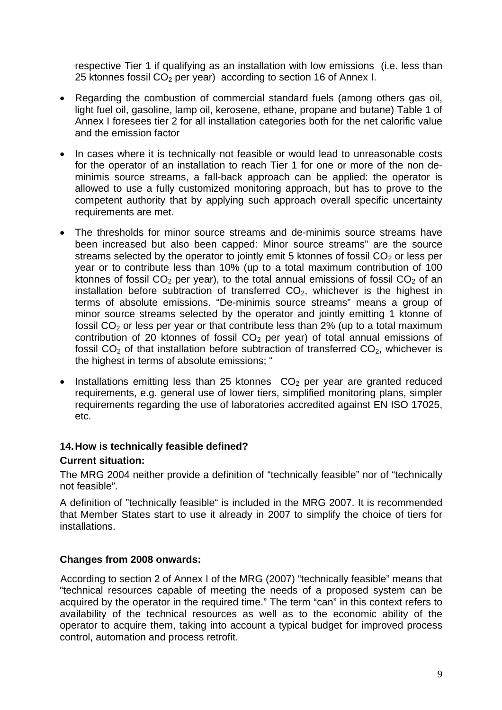respective Tier 1 if qualifying as an installation with low emissions (i.e. less than 25 ktonnes fossil  $CO<sub>2</sub>$  per year) according to section 16 of Annex I.

- Regarding the combustion of commercial standard fuels (among others gas oil, light fuel oil, gasoline, lamp oil, kerosene, ethane, propane and butane) Table 1 of Annex I foresees tier 2 for all installation categories both for the net calorific value and the emission factor
- In cases where it is technically not feasible or would lead to unreasonable costs for the operator of an installation to reach Tier 1 for one or more of the non deminimis source streams, a fall-back approach can be applied: the operator is allowed to use a fully customized monitoring approach, but has to prove to the competent authority that by applying such approach overall specific uncertainty requirements are met.
- The thresholds for minor source streams and de-minimis source streams have been increased but also been capped: Minor source streams" are the source streams selected by the operator to jointly emit 5 ktonnes of fossil  $CO<sub>2</sub>$  or less per year or to contribute less than 10% (up to a total maximum contribution of 100 ktonnes of fossil  $CO<sub>2</sub>$  per year), to the total annual emissions of fossil  $CO<sub>2</sub>$  of an installation before subtraction of transferred  $CO<sub>2</sub>$ , whichever is the highest in terms of absolute emissions. "De-minimis source streams" means a group of minor source streams selected by the operator and jointly emitting 1 ktonne of fossil  $CO<sub>2</sub>$  or less per year or that contribute less than 2% (up to a total maximum contribution of 20 ktonnes of fossil  $CO<sub>2</sub>$  per year) of total annual emissions of fossil  $CO<sub>2</sub>$  of that installation before subtraction of transferred  $CO<sub>2</sub>$ , whichever is the highest in terms of absolute emissions; "
- Installations emitting less than 25 ktonnes  $CO<sub>2</sub>$  per year are granted reduced requirements, e.g. general use of lower tiers, simplified monitoring plans, simpler requirements regarding the use of laboratories accredited against EN ISO 17025, etc.

# **14. How is technically feasible defined?**

# **Current situation:**

The MRG 2004 neither provide a definition of "technically feasible" nor of "technically not feasible".

A definition of "technically feasible" is included in the MRG 2007. It is recommended that Member States start to use it already in 2007 to simplify the choice of tiers for installations.

# **Changes from 2008 onwards:**

According to section 2 of Annex I of the MRG (2007) "technically feasible" means that "technical resources capable of meeting the needs of a proposed system can be acquired by the operator in the required time." The term "can" in this context refers to availability of the technical resources as well as to the economic ability of the operator to acquire them, taking into account a typical budget for improved process control, automation and process retrofit.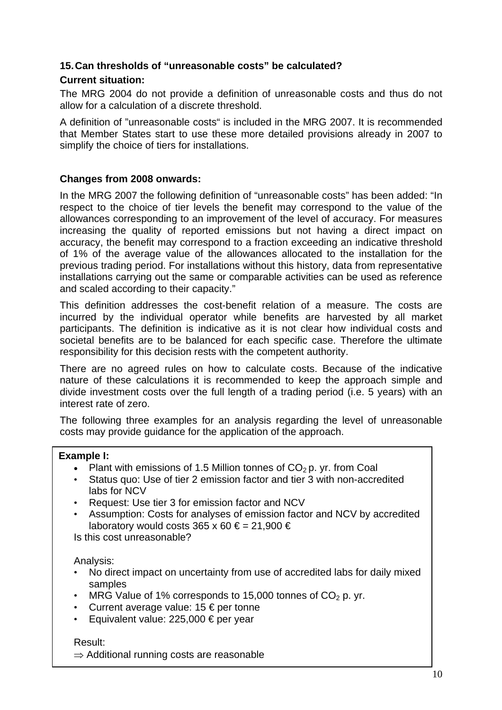# **15. Can thresholds of "unreasonable costs" be calculated?**

# **Current situation:**

The MRG 2004 do not provide a definition of unreasonable costs and thus do not allow for a calculation of a discrete threshold.

A definition of "unreasonable costs" is included in the MRG 2007. It is recommended that Member States start to use these more detailed provisions already in 2007 to simplify the choice of tiers for installations.

# **Changes from 2008 onwards:**

In the MRG 2007 the following definition of "unreasonable costs" has been added: "In respect to the choice of tier levels the benefit may correspond to the value of the allowances corresponding to an improvement of the level of accuracy. For measures increasing the quality of reported emissions but not having a direct impact on accuracy, the benefit may correspond to a fraction exceeding an indicative threshold of 1% of the average value of the allowances allocated to the installation for the previous trading period. For installations without this history, data from representative installations carrying out the same or comparable activities can be used as reference and scaled according to their capacity."

This definition addresses the cost-benefit relation of a measure. The costs are incurred by the individual operator while benefits are harvested by all market participants. The definition is indicative as it is not clear how individual costs and societal benefits are to be balanced for each specific case. Therefore the ultimate responsibility for this decision rests with the competent authority.

There are no agreed rules on how to calculate costs. Because of the indicative nature of these calculations it is recommended to keep the approach simple and divide investment costs over the full length of a trading period (i.e. 5 years) with an interest rate of zero.

The following three examples for an analysis regarding the level of unreasonable costs may provide guidance for the application of the approach.

# **Example I:**

- Plant with emissions of 1.5 Million tonnes of  $CO<sub>2</sub>$  p. yr. from Coal
- Status quo: Use of tier 2 emission factor and tier 3 with non-accredited labs for NCV
- Request: Use tier 3 for emission factor and NCV
- Assumption: Costs for analyses of emission factor and NCV by accredited laboratory would costs 365 x 60  $\epsilon$  = 21,900  $\epsilon$

Is this cost unreasonable?

Analysis:

- No direct impact on uncertainty from use of accredited labs for daily mixed samples
- MRG Value of 1% corresponds to 15,000 tonnes of  $CO<sub>2</sub>$  p. yr.
- Current average value:  $15 \text{ } \in$  per tonne
- Equivalent value:  $225,000 \in per$  year

#### Result:

 $\Rightarrow$  Additional running costs are reasonable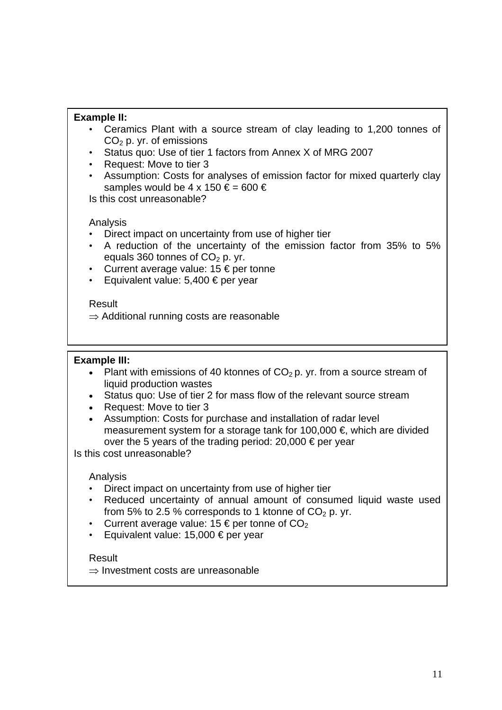### **Example II:**

- Ceramics Plant with a source stream of clay leading to 1,200 tonnes of  $CO<sub>2</sub>$  p. yr. of emissions
- Status quo: Use of tier 1 factors from Annex X of MRG 2007
- Request: Move to tier 3
- Assumption: Costs for analyses of emission factor for mixed quarterly clay samples would be 4 x 150  $\epsilon$  = 600  $\epsilon$

Is this cost unreasonable?

#### Analysis

- Direct impact on uncertainty from use of higher tier
- A reduction of the uncertainty of the emission factor from 35% to 5% equals 360 tonnes of  $CO<sub>2</sub>$  p. yr.
- Current average value:  $15 \text{ } \in \text{per}$  tonne
- Equivalent value:  $5,400 \in per$  year

#### Result

 $\Rightarrow$  Additional running costs are reasonable

#### **Example III:**

- Plant with emissions of 40 ktonnes of  $CO<sub>2</sub>$  p. yr. from a source stream of liquid production wastes
- Status quo: Use of tier 2 for mass flow of the relevant source stream
- Request: Move to tier 3
- Assumption: Costs for purchase and installation of radar level measurement system for a storage tank for 100,000  $\epsilon$ , which are divided over the 5 years of the trading period: 20,000 € per year

Is this cost unreasonable?

#### Analysis

- Direct impact on uncertainty from use of higher tier
- Reduced uncertainty of annual amount of consumed liquid waste used from 5% to 2.5 % corresponds to 1 ktonne of  $CO<sub>2</sub>$  p. yr.
- Current average value:  $15 \text{ } \in$  per tonne of CO<sub>2</sub>
- Equivalent value:  $15,000 \in per$  year

#### Result

⇒ Investment costs are unreasonable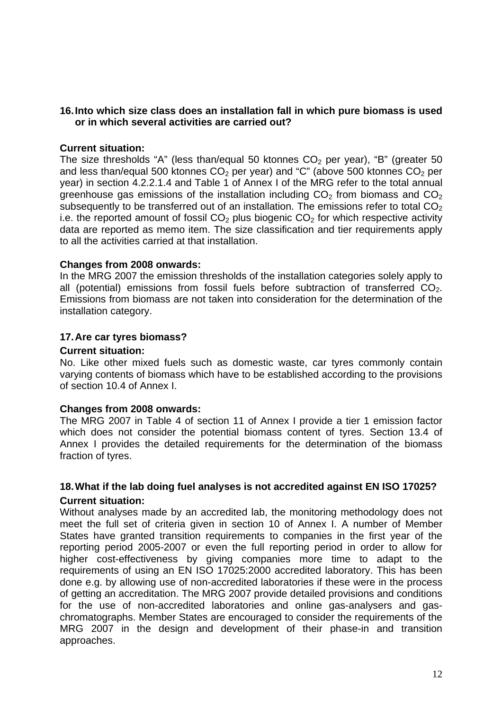#### **16. Into which size class does an installation fall in which pure biomass is used or in which several activities are carried out?**

#### **Current situation:**

The size thresholds "A" (less than/equal 50 ktonnes  $CO<sub>2</sub>$  per year), "B" (greater 50 and less than/equal 500 ktonnes  $CO<sub>2</sub>$  per year) and "C" (above 500 ktonnes  $CO<sub>2</sub>$  per year) in section 4.2.2.1.4 and Table 1 of Annex I of the MRG refer to the total annual greenhouse gas emissions of the installation including  $CO<sub>2</sub>$  from biomass and  $CO<sub>2</sub>$ subsequently to be transferred out of an installation. The emissions refer to total  $CO<sub>2</sub>$ i.e. the reported amount of fossil  $CO<sub>2</sub>$  plus biogenic  $CO<sub>2</sub>$  for which respective activity data are reported as memo item. The size classification and tier requirements apply to all the activities carried at that installation.

#### **Changes from 2008 onwards:**

In the MRG 2007 the emission thresholds of the installation categories solely apply to all (potential) emissions from fossil fuels before subtraction of transferred  $CO<sub>2</sub>$ . Emissions from biomass are not taken into consideration for the determination of the installation category.

#### **17. Are car tyres biomass?**

#### **Current situation:**

No. Like other mixed fuels such as domestic waste, car tyres commonly contain varying contents of biomass which have to be established according to the provisions of section 10.4 of Annex I.

#### **Changes from 2008 onwards:**

The MRG 2007 in Table 4 of section 11 of Annex I provide a tier 1 emission factor which does not consider the potential biomass content of tyres. Section 13.4 of Annex I provides the detailed requirements for the determination of the biomass fraction of tyres.

#### **18. What if the lab doing fuel analyses is not accredited against EN ISO 17025? Current situation:**

Without analyses made by an accredited lab, the monitoring methodology does not meet the full set of criteria given in section 10 of Annex I. A number of Member States have granted transition requirements to companies in the first year of the reporting period 2005-2007 or even the full reporting period in order to allow for higher cost-effectiveness by giving companies more time to adapt to the requirements of using an EN ISO 17025:2000 accredited laboratory. This has been done e.g. by allowing use of non-accredited laboratories if these were in the process of getting an accreditation. The MRG 2007 provide detailed provisions and conditions for the use of non-accredited laboratories and online gas-analysers and gaschromatographs. Member States are encouraged to consider the requirements of the MRG 2007 in the design and development of their phase-in and transition approaches.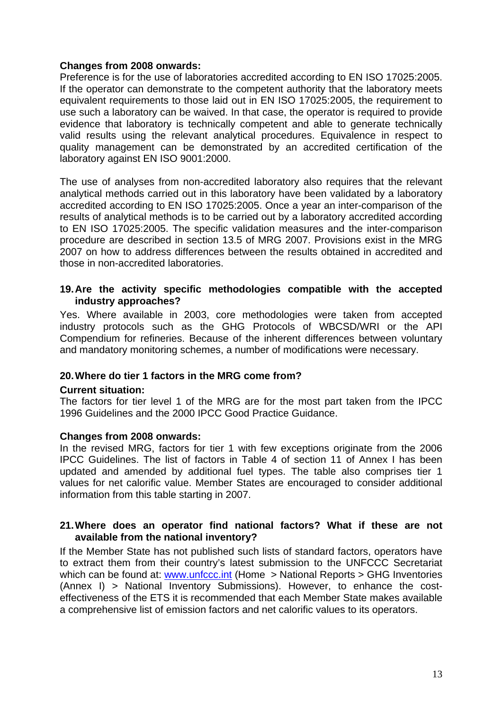### **Changes from 2008 onwards:**

Preference is for the use of laboratories accredited according to EN ISO 17025:2005. If the operator can demonstrate to the competent authority that the laboratory meets equivalent requirements to those laid out in EN ISO 17025:2005, the requirement to use such a laboratory can be waived. In that case, the operator is required to provide evidence that laboratory is technically competent and able to generate technically valid results using the relevant analytical procedures. Equivalence in respect to quality management can be demonstrated by an accredited certification of the laboratory against EN ISO 9001:2000.

The use of analyses from non-accredited laboratory also requires that the relevant analytical methods carried out in this laboratory have been validated by a laboratory accredited according to EN ISO 17025:2005. Once a year an inter-comparison of the results of analytical methods is to be carried out by a laboratory accredited according to EN ISO 17025:2005. The specific validation measures and the inter-comparison procedure are described in section 13.5 of MRG 2007. Provisions exist in the MRG 2007 on how to address differences between the results obtained in accredited and those in non-accredited laboratories.

### **19. Are the activity specific methodologies compatible with the accepted industry approaches?**

Yes. Where available in 2003, core methodologies were taken from accepted industry protocols such as the GHG Protocols of WBCSD/WRI or the API Compendium for refineries. Because of the inherent differences between voluntary and mandatory monitoring schemes, a number of modifications were necessary.

#### **20. Where do tier 1 factors in the MRG come from?**

#### **Current situation:**

The factors for tier level 1 of the MRG are for the most part taken from the IPCC 1996 Guidelines and the 2000 IPCC Good Practice Guidance.

#### **Changes from 2008 onwards:**

In the revised MRG, factors for tier 1 with few exceptions originate from the 2006 IPCC Guidelines. The list of factors in Table 4 of section 11 of Annex I has been updated and amended by additional fuel types. The table also comprises tier 1 values for net calorific value. Member States are encouraged to consider additional information from this table starting in 2007.

#### **21. Where does an operator find national factors? What if these are not available from the national inventory?**

If the Member State has not published such lists of standard factors, operators have to extract them from their country's latest submission to the UNFCCC Secretariat which can be found at: [www.unfccc.int](http://www.unfccc.int/) (Home > National Reports > GHG Inventories (Annex I) > National Inventory Submissions). However, to enhance the costeffectiveness of the ETS it is recommended that each Member State makes available a comprehensive list of emission factors and net calorific values to its operators.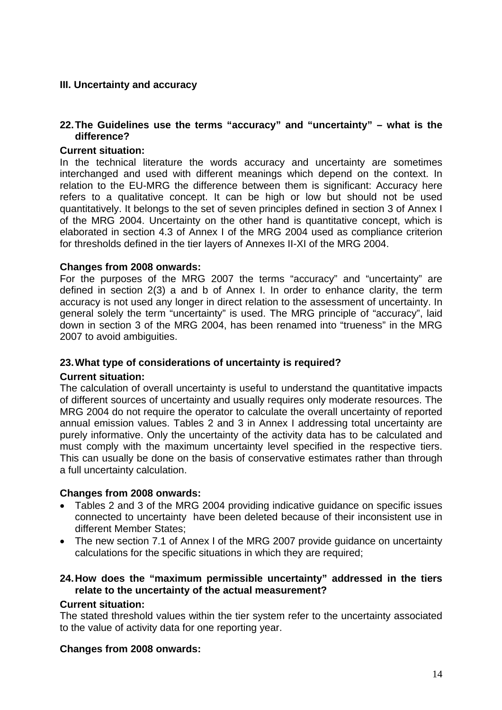# **III. Uncertainty and accuracy**

### **22. The Guidelines use the terms "accuracy" and "uncertainty" – what is the difference?**

# **Current situation:**

In the technical literature the words accuracy and uncertainty are sometimes interchanged and used with different meanings which depend on the context. In relation to the EU-MRG the difference between them is significant: Accuracy here refers to a qualitative concept. It can be high or low but should not be used quantitatively. It belongs to the set of seven principles defined in section 3 of Annex I of the MRG 2004. Uncertainty on the other hand is quantitative concept, which is elaborated in section 4.3 of Annex I of the MRG 2004 used as compliance criterion for thresholds defined in the tier layers of Annexes II-XI of the MRG 2004.

#### **Changes from 2008 onwards:**

For the purposes of the MRG 2007 the terms "accuracy" and "uncertainty" are defined in section 2(3) a and b of Annex I. In order to enhance clarity, the term accuracy is not used any longer in direct relation to the assessment of uncertainty. In general solely the term "uncertainty" is used. The MRG principle of "accuracy", laid down in section 3 of the MRG 2004, has been renamed into "trueness" in the MRG 2007 to avoid ambiguities.

#### **23. What type of considerations of uncertainty is required?**

#### **Current situation:**

The calculation of overall uncertainty is useful to understand the quantitative impacts of different sources of uncertainty and usually requires only moderate resources. The MRG 2004 do not require the operator to calculate the overall uncertainty of reported annual emission values. Tables 2 and 3 in Annex I addressing total uncertainty are purely informative. Only the uncertainty of the activity data has to be calculated and must comply with the maximum uncertainty level specified in the respective tiers. This can usually be done on the basis of conservative estimates rather than through a full uncertainty calculation.

#### **Changes from 2008 onwards:**

- Tables 2 and 3 of the MRG 2004 providing indicative guidance on specific issues connected to uncertainty have been deleted because of their inconsistent use in different Member States;
- The new section 7.1 of Annex I of the MRG 2007 provide quidance on uncertainty calculations for the specific situations in which they are required;

# **24. How does the "maximum permissible uncertainty" addressed in the tiers relate to the uncertainty of the actual measurement?**

#### **Current situation:**

The stated threshold values within the tier system refer to the uncertainty associated to the value of activity data for one reporting year.

#### **Changes from 2008 onwards:**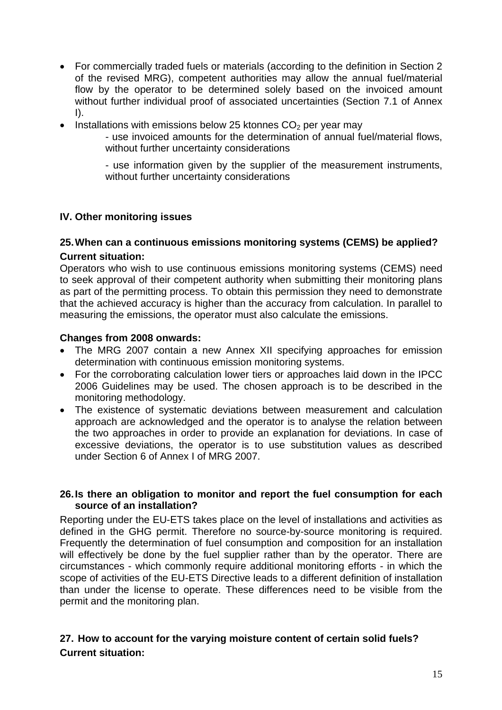- For commercially traded fuels or materials (according to the definition in Section 2 of the revised MRG), competent authorities may allow the annual fuel/material flow by the operator to be determined solely based on the invoiced amount without further individual proof of associated uncertainties (Section 7.1 of Annex  $\vert$ ).
- Installations with emissions below 25 ktonnes  $CO<sub>2</sub>$  per year may
	- use invoiced amounts for the determination of annual fuel/material flows, without further uncertainty considerations

- use information given by the supplier of the measurement instruments, without further uncertainty considerations

# **IV. Other monitoring issues**

# **25. When can a continuous emissions monitoring systems (CEMS) be applied?**

#### **Current situation:**

Operators who wish to use continuous emissions monitoring systems (CEMS) need to seek approval of their competent authority when submitting their monitoring plans as part of the permitting process. To obtain this permission they need to demonstrate that the achieved accuracy is higher than the accuracy from calculation. In parallel to measuring the emissions, the operator must also calculate the emissions.

#### **Changes from 2008 onwards:**

- The MRG 2007 contain a new Annex XII specifying approaches for emission determination with continuous emission monitoring systems.
- For the corroborating calculation lower tiers or approaches laid down in the IPCC 2006 Guidelines may be used. The chosen approach is to be described in the monitoring methodology.
- The existence of systematic deviations between measurement and calculation approach are acknowledged and the operator is to analyse the relation between the two approaches in order to provide an explanation for deviations. In case of excessive deviations, the operator is to use substitution values as described under Section 6 of Annex I of MRG 2007.

#### **26. Is there an obligation to monitor and report the fuel consumption for each source of an installation?**

Reporting under the EU-ETS takes place on the level of installations and activities as defined in the GHG permit. Therefore no source-by-source monitoring is required. Frequently the determination of fuel consumption and composition for an installation will effectively be done by the fuel supplier rather than by the operator. There are circumstances - which commonly require additional monitoring efforts - in which the scope of activities of the EU-ETS Directive leads to a different definition of installation than under the license to operate. These differences need to be visible from the permit and the monitoring plan.

# **27. How to account for the varying moisture content of certain solid fuels? Current situation:**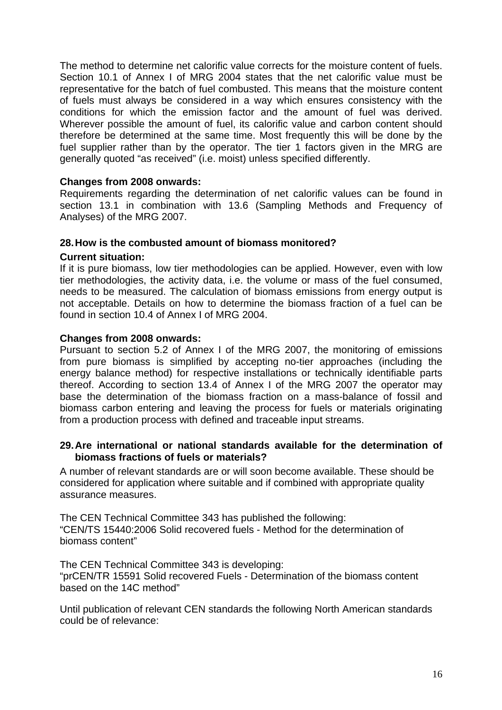The method to determine net calorific value corrects for the moisture content of fuels. Section 10.1 of Annex I of MRG 2004 states that the net calorific value must be representative for the batch of fuel combusted. This means that the moisture content of fuels must always be considered in a way which ensures consistency with the conditions for which the emission factor and the amount of fuel was derived. Wherever possible the amount of fuel, its calorific value and carbon content should therefore be determined at the same time. Most frequently this will be done by the fuel supplier rather than by the operator. The tier 1 factors given in the MRG are generally quoted "as received" (i.e. moist) unless specified differently.

# **Changes from 2008 onwards:**

Requirements regarding the determination of net calorific values can be found in section 13.1 in combination with 13.6 (Sampling Methods and Frequency of Analyses) of the MRG 2007.

#### **28. How is the combusted amount of biomass monitored?**

#### **Current situation:**

If it is pure biomass, low tier methodologies can be applied. However, even with low tier methodologies, the activity data, i.e. the volume or mass of the fuel consumed, needs to be measured. The calculation of biomass emissions from energy output is not acceptable. Details on how to determine the biomass fraction of a fuel can be found in section 10.4 of Annex I of MRG 2004.

# **Changes from 2008 onwards:**

Pursuant to section 5.2 of Annex I of the MRG 2007, the monitoring of emissions from pure biomass is simplified by accepting no-tier approaches (including the energy balance method) for respective installations or technically identifiable parts thereof. According to section 13.4 of Annex I of the MRG 2007 the operator may base the determination of the biomass fraction on a mass-balance of fossil and biomass carbon entering and leaving the process for fuels or materials originating from a production process with defined and traceable input streams.

#### **29. Are international or national standards available for the determination of biomass fractions of fuels or materials?**

A number of relevant standards are or will soon become available. These should be considered for application where suitable and if combined with appropriate quality assurance measures.

The CEN Technical Committee 343 has published the following: "CEN/TS 15440:2006 Solid recovered fuels - Method for the determination of biomass content"

The CEN Technical Committee 343 is developing:

"prCEN/TR 15591 Solid recovered Fuels - Determination of the biomass content based on the 14C method"

Until publication of relevant CEN standards the following North American standards could be of relevance: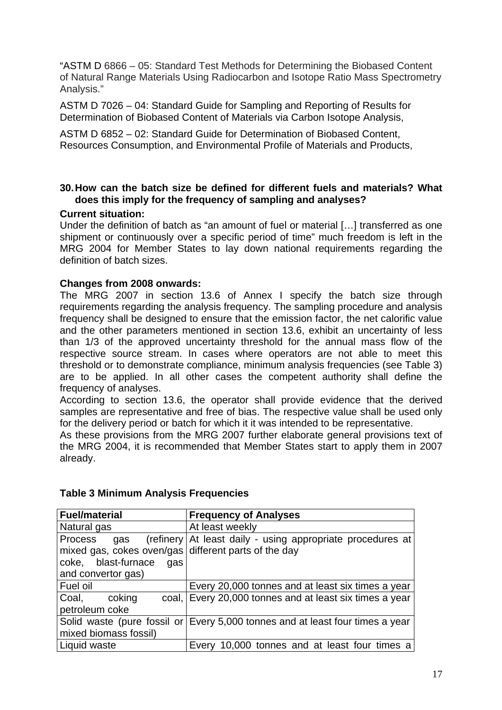"ASTM D 6866 – 05: Standard Test Methods for Determining the Biobased Content of Natural Range Materials Using Radiocarbon and Isotope Ratio Mass Spectrometry Analysis."

ASTM D 7026 – 04: Standard Guide for Sampling and Reporting of Results for Determination of Biobased Content of Materials via Carbon Isotope Analysis,

ASTM D 6852 – 02: Standard Guide for Determination of Biobased Content, Resources Consumption, and Environmental Profile of Materials and Products,

# **30. How can the batch size be defined for different fuels and materials? What does this imply for the frequency of sampling and analyses?**

# **Current situation:**

Under the definition of batch as "an amount of fuel or material […] transferred as one shipment or continuously over a specific period of time" much freedom is left in the MRG 2004 for Member States to lay down national requirements regarding the definition of batch sizes.

# **Changes from 2008 onwards:**

The MRG 2007 in section 13.6 of Annex I specify the batch size through requirements regarding the analysis frequency. The sampling procedure and analysis frequency shall be designed to ensure that the emission factor, the net calorific value and the other parameters mentioned in section 13.6, exhibit an uncertainty of less than 1/3 of the approved uncertainty threshold for the annual mass flow of the respective source stream. In cases where operators are not able to meet this threshold or to demonstrate compliance, minimum analysis frequencies (see [Table 3\)](#page-16-0) are to be applied. In all other cases the competent authority shall define the frequency of analyses.

According to section 13.6, the operator shall provide evidence that the derived samples are representative and free of bias. The respective value shall be used only for the delivery period or batch for which it it was intended to be representative.

As these provisions from the MRG 2007 further elaborate general provisions text of the MRG 2004, it is recommended that Member States start to apply them in 2007 already.

| <b>Fuel/material</b>                                 | <b>Frequency of Analyses</b>                                                  |
|------------------------------------------------------|-------------------------------------------------------------------------------|
| Natural gas                                          | At least weekly                                                               |
| Process<br>gas                                       | (refinery At least daily - using appropriate procedures at                    |
| mixed gas, cokes oven/gas different parts of the day |                                                                               |
| coke, blast-furnace<br>gas                           |                                                                               |
| and convertor gas)                                   |                                                                               |
| Fuel oil                                             | Every 20,000 tonnes and at least six times a year                             |
| Coal,<br>coking                                      | coal, Every 20,000 tonnes and at least six times a year                       |
| petroleum coke                                       |                                                                               |
|                                                      | Solid waste (pure fossil or Every 5,000 tonnes and at least four times a year |
| mixed biomass fossil)                                |                                                                               |
| Liquid waste                                         | Every 10,000 tonnes and at least four times a                                 |

# <span id="page-16-0"></span>**Table 3 Minimum Analysis Frequencies**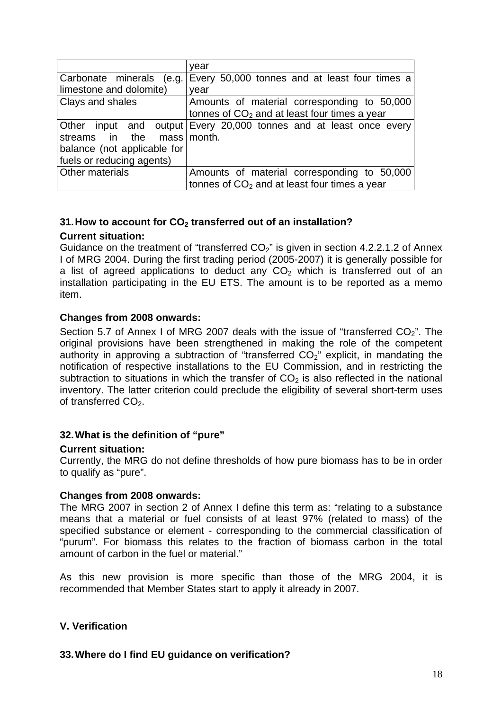|                                 | vear                                                               |
|---------------------------------|--------------------------------------------------------------------|
| Carbonate minerals              | (e.g. Every 50,000 tonnes and at least four times a                |
| limestone and dolomite)         | vear                                                               |
| Clays and shales                | Amounts of material corresponding to 50,000                        |
|                                 | tonnes of $CO2$ and at least four times a year                     |
|                                 | Other input and output Every 20,000 tonnes and at least once every |
| streams in the<br>mass I month. |                                                                    |
| balance (not applicable for     |                                                                    |
| fuels or reducing agents)       |                                                                    |
| Other materials                 | Amounts of material corresponding to 50,000                        |
|                                 | tonnes of $CO2$ and at least four times a year                     |

# **31. How to account for CO2 transferred out of an installation?**

#### **Current situation:**

Guidance on the treatment of "transferred  $CO<sub>2</sub>$ " is given in section 4.2.2.1.2 of Annex I of MRG 2004. During the first trading period (2005-2007) it is generally possible for a list of agreed applications to deduct any  $CO<sub>2</sub>$  which is transferred out of an installation participating in the EU ETS. The amount is to be reported as a memo item.

#### **Changes from 2008 onwards:**

Section 5.7 of Annex I of MRG 2007 deals with the issue of "transferred  $CO<sub>2</sub>$ ". The original provisions have been strengthened in making the role of the competent authority in approving a subtraction of "transferred  $CO<sub>2</sub>$ " explicit, in mandating the notification of respective installations to the EU Commission, and in restricting the subtraction to situations in which the transfer of  $CO<sub>2</sub>$  is also reflected in the national inventory. The latter criterion could preclude the eligibility of several short-term uses of transferred  $CO<sub>2</sub>$ .

#### **32. What is the definition of "pure"**

#### **Current situation:**

Currently, the MRG do not define thresholds of how pure biomass has to be in order to qualify as "pure".

#### **Changes from 2008 onwards:**

The MRG 2007 in section 2 of Annex I define this term as: "relating to a substance means that a material or fuel consists of at least 97% (related to mass) of the specified substance or element - corresponding to the commercial classification of "purum". For biomass this relates to the fraction of biomass carbon in the total amount of carbon in the fuel or material."

As this new provision is more specific than those of the MRG 2004, it is recommended that Member States start to apply it already in 2007.

#### **V. Verification**

# **33. Where do I find EU guidance on verification?**